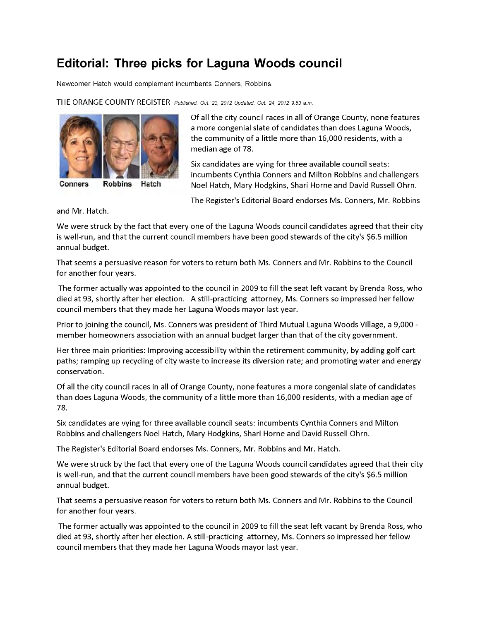## **Editorial: Three picks for Laguna Woods council**

Newcomer Hatch would complement incumbents Conners, Robbins.

Hatch

THE ORANGE COUNTY REGISTER *Published: Oct. 23, 2012 Updated: Oct. 24, 2012 9:53 a.m.*



Conners **Robbins** 

Of all the city council races in all of Orange County, none features a more congenial slate of candidates than does Laguna Woods, the community of a little more than 16,000 residents, with a median age of 78.

Six candidates are vying for three available council seats: incumbents Cynthia Conners and Milton Robbins and challengers Noel Hatch, Mary Hodgkins, Shari Horne and David Russell Ohrn.

The Register's Editorial Board endorses Ms. Conners, Mr. Robbins

and Mr. Hatch.

We were struck by the fact that every one of the Laguna Woods council candidates agreed that their city is well-run, and that the current council members have been good stewards of the city's \$6.5 million annual budget.

That seems a persuasive reason for voters to return both Ms. Conners and Mr. Robbins to the Council for another four years.

The former actually was appointed to the council in 2009 to fill the seat left vacant by Brenda Ross, who died at 93, shortly after her election. A still-practicing attorney, Ms. Conners so impressed her fellow council members that they made her Laguna Woods mayor last year.

Prior to joining the council, Ms. Conners was president of Third Mutual Laguna Woods Village, a 9,000 member homeowners association with an annual budget larger than that of the city government.

Her three main priorities: Improving accessibility within the retirement community, by adding golf cart paths; ramping up recycling of city waste to increase its diversion rate; and promoting water and energy conservation.

Of all the city council races in all of Orange County, none features a more congenial slate of candidates than does Laguna Woods, the community of a little more than 16,000 residents, with a median age of 78.

Six candidates are vying for three available council seats: incumbents Cynthia Conners and Milton Robbins and challengers Noel Hatch, Mary Hodgkins, Shari Horne and David Russell Ohrn.

The Register's Editorial Board endorses Ms. Conners, Mr. Robbins and Mr. Hatch.

We were struck by the fact that every one of the Laguna Woods council candidates agreed that their city is well-run, and that the current council members have been good stewards of the city's \$6.5 million annual budget.

That seems a persuasive reason for voters to return both Ms. Conners and Mr. Robbins to the Council for another four years.

The former actually was appointed to the council in 2009 to fill the seat left vacant by Brenda Ross, who died at 93, shortly after her election. A still-practicing attorney, Ms. Conners so impressed her fellow council members that they made her Laguna Woods mayor last year.